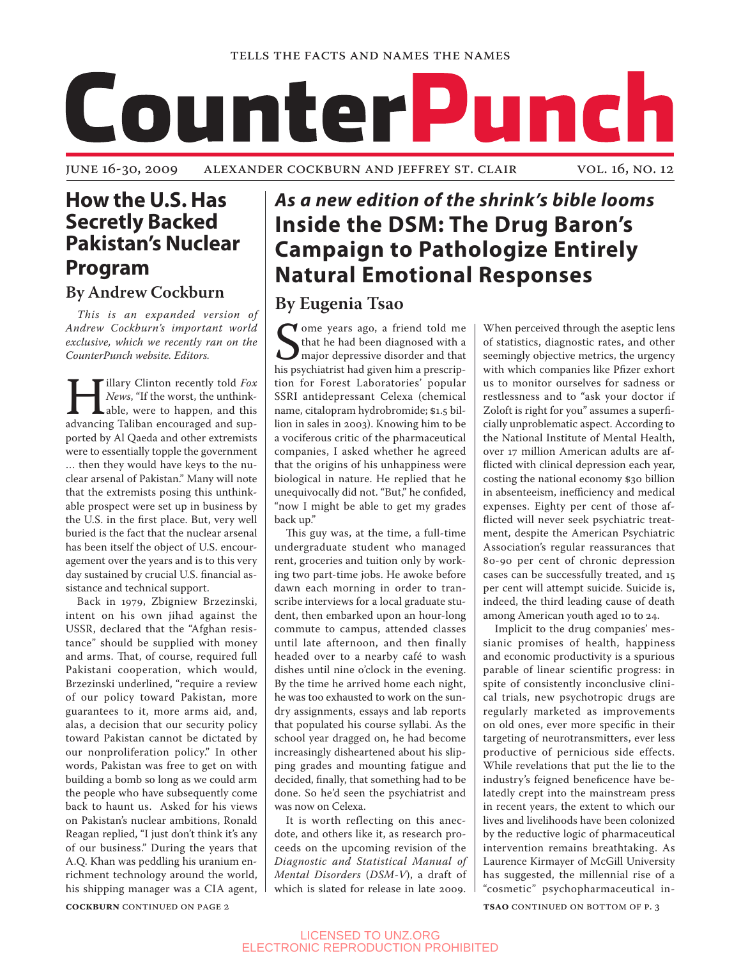

## **How the U.S. Has Secretly Backed Pakistan's Nuclear Program**

### **By Andrew Cockburn**

*This is an expanded version of Andrew Cockburn's important world exclusive, which we recently ran on the CounterPunch website. Editors.*

**Hillary Clinton recently told** *Fox News*, "If the worst, the unthink-<br>able, were to happen, and this advancing Taliban encouraged and sup-*News*, "If the worst, the unthinkable, were to happen, and this ported by Al Qaeda and other extremists were to essentially topple the government … then they would have keys to the nuclear arsenal of Pakistan." Many will note that the extremists posing this unthinkable prospect were set up in business by the U.S. in the first place. But, very well buried is the fact that the nuclear arsenal has been itself the object of U.S. encouragement over the years and is to this very day sustained by crucial U.S. financial assistance and technical support.

Back in 1979, Zbigniew Brzezinski, intent on his own jihad against the USSR, declared that the "Afghan resistance" should be supplied with money and arms. That, of course, required full Pakistani cooperation, which would, Brzezinski underlined, "require a review of our policy toward Pakistan, more guarantees to it, more arms aid, and, alas, a decision that our security policy toward Pakistan cannot be dictated by our nonproliferation policy." In other words, Pakistan was free to get on with building a bomb so long as we could arm the people who have subsequently come back to haunt us. Asked for his views on Pakistan's nuclear ambitions, Ronald Reagan replied, "I just don't think it's any of our business." During the years that A.Q. Khan was peddling his uranium enrichment technology around the world, his shipping manager was a CIA agent,

# *As a new edition of the shrink's bible looms* **Inside the DSM: The Drug Baron's Campaign to Pathologize Entirely Natural Emotional Responses**

### **By Eugenia Tsao**

Some years ago, a friend told me<br>that he had been diagnosed with a<br>his psychiatrist had given him a prescripome years ago, a friend told me that he had been diagnosed with a major depressive disorder and that tion for Forest Laboratories' popular SSRI antidepressant Celexa (chemical name, citalopram hydrobromide; \$1.5 billion in sales in 2003). Knowing him to be a vociferous critic of the pharmaceutical companies, I asked whether he agreed that the origins of his unhappiness were biological in nature. He replied that he unequivocally did not. "But," he confided, "now I might be able to get my grades back up."

This guy was, at the time, a full-time undergraduate student who managed rent, groceries and tuition only by working two part-time jobs. He awoke before dawn each morning in order to transcribe interviews for a local graduate student, then embarked upon an hour-long commute to campus, attended classes until late afternoon, and then finally headed over to a nearby café to wash dishes until nine o'clock in the evening. By the time he arrived home each night, he was too exhausted to work on the sundry assignments, essays and lab reports that populated his course syllabi. As the school year dragged on, he had become increasingly disheartened about his slipping grades and mounting fatigue and decided, finally, that something had to be done. So he'd seen the psychiatrist and was now on Celexa.

It is worth reflecting on this anecdote, and others like it, as research proceeds on the upcoming revision of the *Diagnostic and Statistical Manual of Mental Disorders* (*DSM-V*), a draft of which is slated for release in late 2009.

When perceived through the aseptic lens of statistics, diagnostic rates, and other seemingly objective metrics, the urgency with which companies like Pfizer exhort us to monitor ourselves for sadness or restlessness and to "ask your doctor if Zoloft is right for you" assumes a superficially unproblematic aspect. According to the National Institute of Mental Health, over 17 million American adults are afflicted with clinical depression each year, costing the national economy \$30 billion in absenteeism, inefficiency and medical expenses. Eighty per cent of those afflicted will never seek psychiatric treatment, despite the American Psychiatric Association's regular reassurances that 80-90 per cent of chronic depression cases can be successfully treated, and 15 per cent will attempt suicide. Suicide is, indeed, the third leading cause of death among American youth aged 10 to 24.

Implicit to the drug companies' messianic promises of health, happiness and economic productivity is a spurious parable of linear scientific progress: in spite of consistently inconclusive clinical trials, new psychotropic drugs are regularly marketed as improvements on old ones, ever more specific in their targeting of neurotransmitters, ever less productive of pernicious side effects. While revelations that put the lie to the industry's feigned beneficence have belatedly crept into the mainstream press in recent years, the extent to which our lives and livelihoods have been colonized by the reductive logic of pharmaceutical intervention remains breathtaking. As Laurence Kirmayer of McGill University has suggested, the millennial rise of a "cosmetic" psychopharmaceutical in-

**COCKBURN** CONTINUED ON PAGE 2 **tsache in the continued on bottom** of p. 3